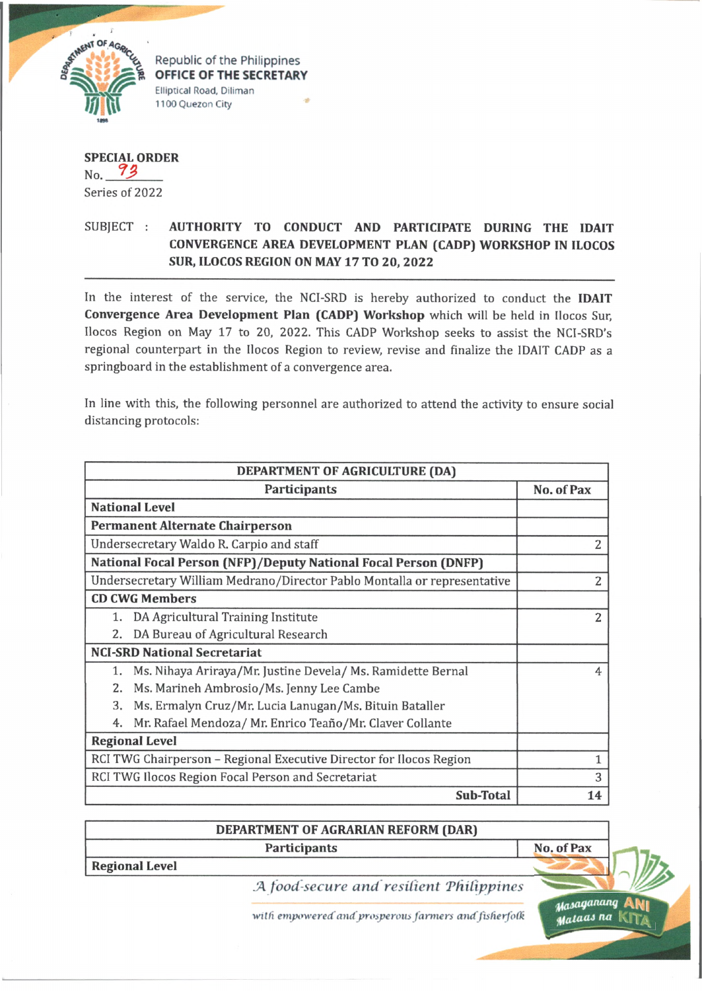

Republic of the Philippines OFFICE OF THE SECRETARY Elliptical Road, Diliman 1100 Quezon City

**SPECIAL ORDER**  $N_{0}$  73 Series of 2022

## SUBJECT : **AUTHORITY TO CONDUCT AND PARTICIPATE DURING THE IDAIT CONVERGENCE AREA DEVELOPMENT PLAN (CADP) WORKSHOP IN ILOCOS SUR, ILOCOS REGION ON MAY 17 TO 20, 2022**

In the interest of the service, the NCI-SRD is hereby authorized to conduct the **IDAIT Convergence Area Development Plan (CADP) Workshop** which will be held in Ilocos Sur, Ilocos Region on May 17 to 20, 2022. This CADP Workshop seeks to assist the NCI-SRD's regional counterpart in the Ilocos Region to review, revise and finalize the IDAIT CADP as a springboard in the establishment of a convergence area.

In line with this, the following personnel are authorized to attend the activity to ensure social distancing protocols:

| DEPARTMENT OF AGRICULTURE (DA)                                           |                |
|--------------------------------------------------------------------------|----------------|
| Participants                                                             | No. of Pax     |
| <b>National Level</b>                                                    |                |
| <b>Permanent Alternate Chairperson</b>                                   |                |
| Undersecretary Waldo R. Carpio and staff                                 | $\overline{2}$ |
| <b>National Focal Person (NFP)/Deputy National Focal Person (DNFP)</b>   |                |
| Undersecretary William Medrano/Director Pablo Montalla or representative | $\overline{2}$ |
| <b>CD CWG Members</b>                                                    |                |
| DA Agricultural Training Institute                                       | $\overline{2}$ |
| DA Bureau of Agricultural Research<br>2.                                 |                |
| <b>NCI-SRD National Secretariat</b>                                      |                |
| Ms. Nihaya Ariraya/Mr. Justine Devela/Ms. Ramidette Bernal<br>1.         | 4              |
| 2.<br>Ms. Marineh Ambrosio/Ms. Jenny Lee Cambe                           |                |
| 3.<br>Ms. Ermalyn Cruz/Mr. Lucia Lanugan/Ms. Bituin Bataller             |                |
| Mr. Rafael Mendoza/ Mr. Enrico Teaño/Mr. Claver Collante<br>4.           |                |
| <b>Regional Level</b>                                                    |                |
| RCI TWG Chairperson - Regional Executive Director for Ilocos Region      | 1              |
| RCI TWG Ilocos Region Focal Person and Secretariat                       | 3              |
| <b>Sub-Total</b>                                                         | 14             |

**DEPARTMENT OF AGRARIAN REFORM (DAR)**

**Regional Level**

*.A food-secure and resilient 'Philippines*

**Participants No. of Pax** 

*tfatfUfananq* AN| *^/IcUaaJ na* K.1YA

with empowered and prosperous farmers and fisherfolk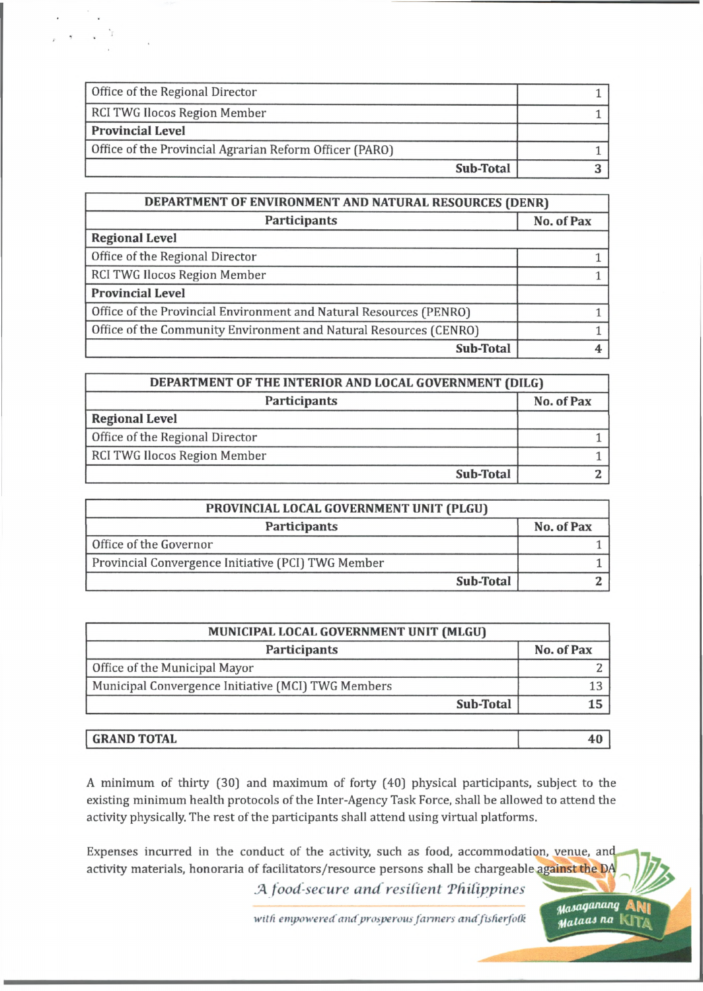| Office of the Regional Director                         |  |
|---------------------------------------------------------|--|
| RCI TWG Ilocos Region Member                            |  |
| <b>Provincial Level</b>                                 |  |
| Office of the Provincial Agrarian Reform Officer (PARO) |  |
| Sub-Total                                               |  |

| DEPARTMENT OF ENVIRONMENT AND NATURAL RESOURCES (DENR)             |            |
|--------------------------------------------------------------------|------------|
| Participants                                                       | No. of Pax |
| <b>Regional Level</b>                                              |            |
| Office of the Regional Director                                    |            |
| RCI TWG Ilocos Region Member                                       |            |
| <b>Provincial Level</b>                                            |            |
| Office of the Provincial Environment and Natural Resources (PENRO) |            |
| Office of the Community Environment and Natural Resources (CENRO)  |            |
| <b>Sub-Total</b>                                                   |            |

| DEPARTMENT OF THE INTERIOR AND LOCAL GOVERNMENT (DILG) |            |
|--------------------------------------------------------|------------|
| Participants                                           | No. of Pax |
| <b>Regional Level</b>                                  |            |
| Office of the Regional Director                        |            |
| RCI TWG Ilocos Region Member                           |            |
| Sub-Total                                              |            |

| PROVINCIAL LOCAL GOVERNMENT UNIT (PLGU)            |            |
|----------------------------------------------------|------------|
| Participants                                       | No. of Pax |
| Office of the Governor                             |            |
| Provincial Convergence Initiative (PCI) TWG Member |            |
| Sub-Total                                          |            |

| MUNICIPAL LOCAL GOVERNMENT UNIT (MLGU)             |            |
|----------------------------------------------------|------------|
| <b>Participants</b>                                | No. of Pax |
| Office of the Municipal Mayor                      |            |
| Municipal Convergence Initiative (MCI) TWG Members | 13         |
| <b>Sub-Total</b>                                   |            |
|                                                    |            |

## **GRAND TOTAL 40**

A minimum of thirty (30] and maximum of forty (40] physical participants, subject to the existing minimum health protocols of the Inter-Agency Task Force, shall be allowed to attend the activity physically. The rest of the participants shall attend using virtual platforms.

Expenses incurred in the conduct of the activity, such as food, accommodation, venue, and activity materials, honoraria of facilitators/resource persons shall be chargeable against the DA

*.'A food-secure and resilient Tfiilippines*

*t f a ja g a M in y* **ANi Mataas na K** 

with empowered and prosperous farmers and fisherfolk